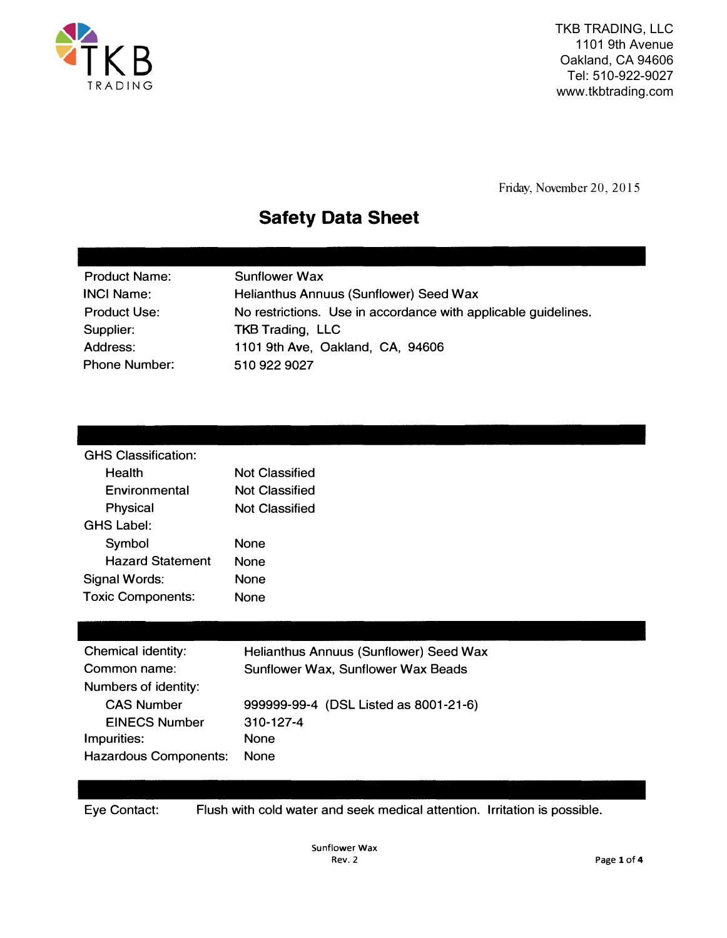

TKB TRADING, LLC 1101 9th Avenue Oakland, CA 94606 Tel: 510-922-9027 www.tkbtrading.com

Friday, November 20, 2015

## **Safety Data Sheet**

| <b>Product Name:</b> | <b>Sunflower Wax</b>                                           |
|----------------------|----------------------------------------------------------------|
| <b>INCI Name:</b>    | Helianthus Annuus (Sunflower) Seed Wax                         |
| <b>Product Use:</b>  | No restrictions. Use in accordance with applicable guidelines. |
| Supplier:            | <b>TKB Trading, LLC</b>                                        |
| Address:             | 1101 9th Ave, Oakland, CA, 94606                               |
| <b>Phone Number:</b> | 510 922 9027                                                   |
|                      |                                                                |

| <b>GHS Classification:</b> |                |
|----------------------------|----------------|
| Health                     | Not Classified |
| Environmental              | Not Classified |
| Physical                   | Not Classified |
| GHS Label:                 |                |
| Symbol                     | <b>None</b>    |
| <b>Hazard Statement</b>    | <b>None</b>    |
| Signal Words:              | <b>None</b>    |
| <b>Toxic Components:</b>   | None           |
|                            |                |

| Chemical identity:           | Helianthus Annuus (Sunflower) Seed Wax |
|------------------------------|----------------------------------------|
| Common name:                 | Sunflower Wax, Sunflower Wax Beads     |
| Numbers of identity:         |                                        |
| <b>CAS Number</b>            | 999999-99-4 (DSL Listed as 8001-21-6)  |
| <b>EINECS Number</b>         | $310 - 127 - 4$                        |
| Impurities:                  | <b>None</b>                            |
| <b>Hazardous Components:</b> | <b>None</b>                            |

Eye Contact: Flush with cold water and seek medical attention. Irritation is possible.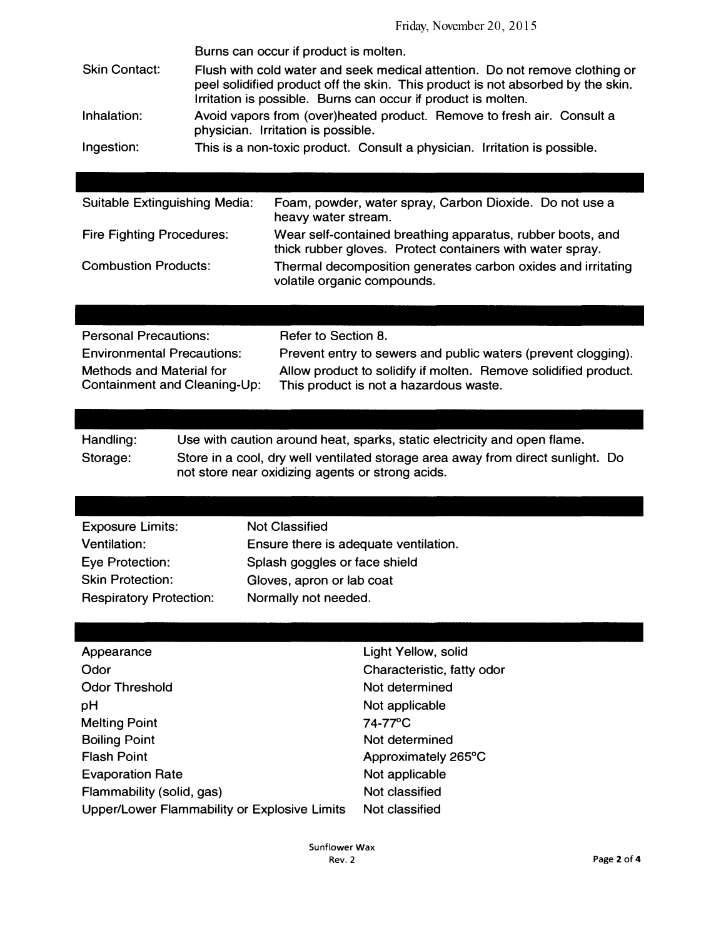|                      | Burns can occur if product is molten.                                                                                                                                                                                           |
|----------------------|---------------------------------------------------------------------------------------------------------------------------------------------------------------------------------------------------------------------------------|
| <b>Skin Contact:</b> | Flush with cold water and seek medical attention. Do not remove clothing or<br>peel solidified product off the skin. This product is not absorbed by the skin.<br>Irritation is possible. Burns can occur if product is molten. |
| Inhalation:          | Avoid vapors from (over)heated product. Remove to fresh air. Consult a<br>physician. Irritation is possible.                                                                                                                    |
| Ingestion:           | This is a non-toxic product. Consult a physician. Irritation is possible.                                                                                                                                                       |
|                      |                                                                                                                                                                                                                                 |

Suitable Extinguishing Media: Foam, powder, water spray, Carbon Dioxide. Do not use a heavy water stream. Fire Fighting Procedures: Combustion Products: Wear self-contained breathing apparatus, rubber boots, and thick rubber gloves. Protect containers with water spray. Thermal decomposition generates carbon oxides and irritating volatile organic compounds.

| <b>Personal Precautions:</b>                                    | Refer to Section 8.                                                                                       |
|-----------------------------------------------------------------|-----------------------------------------------------------------------------------------------------------|
| <b>Environmental Precautions:</b>                               | Prevent entry to sewers and public waters (prevent clogging).                                             |
| <b>Methods and Material for</b><br>Containment and Cleaning-Up: | Allow product to solidify if molten. Remove solidified product.<br>This product is not a hazardous waste. |

| Handling: | Use with caution around heat, sparks, static electricity and open flame.                                                            |
|-----------|-------------------------------------------------------------------------------------------------------------------------------------|
| Storage:  | Store in a cool, dry well ventilated storage area away from direct sunlight. Do<br>not store near oxidizing agents or strong acids. |

| <b>Exposure Limits:</b>        | <b>Not Classified</b>                 |
|--------------------------------|---------------------------------------|
| Ventilation:                   | Ensure there is adequate ventilation. |
| Eye Protection:                | Splash goggles or face shield         |
| <b>Skin Protection:</b>        | Gloves, apron or lab coat             |
| <b>Respiratory Protection:</b> | Normally not needed.                  |

| Appearance                                   | Light Yellow, solid        |
|----------------------------------------------|----------------------------|
| Odor                                         | Characteristic, fatty odor |
| <b>Odor Threshold</b>                        | Not determined             |
| рH                                           | Not applicable             |
| <b>Melting Point</b>                         | 74-77°C                    |
| <b>Boiling Point</b>                         | Not determined             |
| <b>Flash Point</b>                           | Approximately 265°C        |
| <b>Evaporation Rate</b>                      | Not applicable             |
| Flammability (solid, gas)                    | Not classified             |
| Upper/Lower Flammability or Explosive Limits | Not classified             |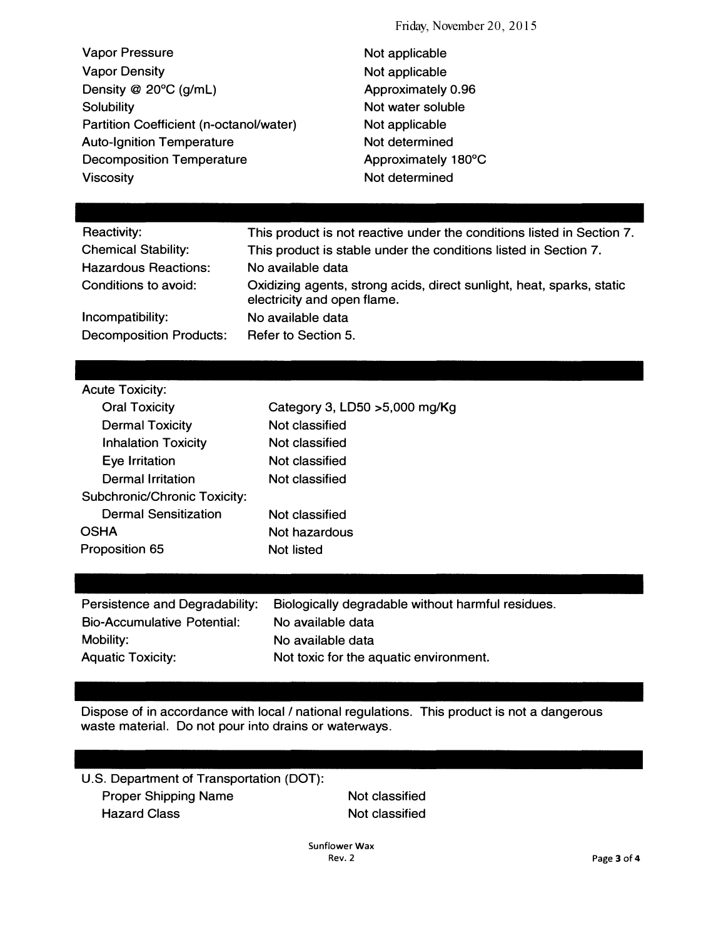Friday, November 20, 2015

Vapor Pressure Vapor Density Density @ 20°C (g/mL) **Solubility** Partition Coefficient (n-octanol/water) Auto-Ignition Temperature Decomposition Temperature **Viscosity** 

Not applicable Not applicable Approximately 0.96 Not water soluble Not applicable Not determined Approximately 180°C Not determined

| <b>Reactivity:</b>             | This product is not reactive under the conditions listed in Section 7.                               |
|--------------------------------|------------------------------------------------------------------------------------------------------|
| <b>Chemical Stability:</b>     | This product is stable under the conditions listed in Section 7.                                     |
| <b>Hazardous Reactions:</b>    | No available data                                                                                    |
| Conditions to avoid:           | Oxidizing agents, strong acids, direct sunlight, heat, sparks, static<br>electricity and open flame. |
| Incompatibility:               | No available data                                                                                    |
| <b>Decomposition Products:</b> | Refer to Section 5.                                                                                  |

| <b>Acute Toxicity:</b>       |                                |
|------------------------------|--------------------------------|
| <b>Oral Toxicity</b>         | Category 3, LD50 > 5,000 mg/Kg |
| <b>Dermal Toxicity</b>       | Not classified                 |
| <b>Inhalation Toxicity</b>   | Not classified                 |
| Eye Irritation               | Not classified                 |
| Dermal Irritation            | Not classified                 |
| Subchronic/Chronic Toxicity: |                                |
| Dermal Sensitization         | Not classified                 |
| <b>OSHA</b>                  | Not hazardous                  |
| Proposition 65               | Not listed                     |
|                              |                                |

| Persistence and Degradability: | Biologically degradable without harmful residues. |
|--------------------------------|---------------------------------------------------|
| Bio-Accumulative Potential:    | No available data                                 |
| Mobility:                      | No available data                                 |
| <b>Aquatic Toxicity:</b>       | Not toxic for the aquatic environment.            |

Dispose of in accordance with local *I* national regulations. This product is not a dangerous waste material. Do not pour into drains or waterways.

| U.S. Department of Transportation (DOT): |                |
|------------------------------------------|----------------|
| <b>Proper Shipping Name</b>              | Not classified |
| <b>Hazard Class</b>                      | Not classified |
|                                          |                |